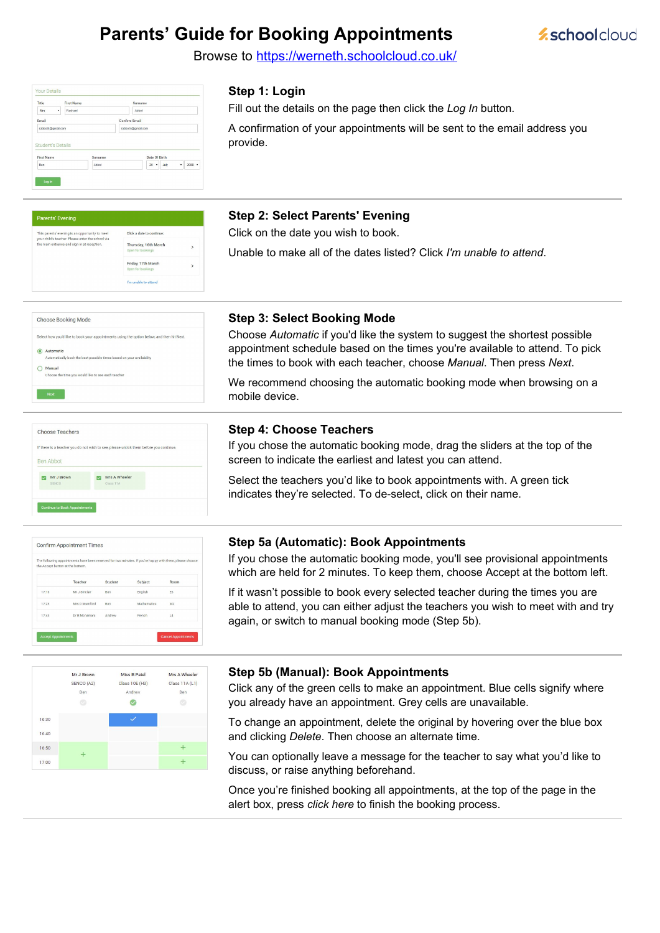# **Parents' Guide for Booking Appointments**



Browse to https://werneth.schoolcloud.co.uk/

| Title                                         | <b>First Name</b> | Surname              |
|-----------------------------------------------|-------------------|----------------------|
| Mrs<br>٠                                      | Rachael           | Abbot                |
| Email                                         |                   | <b>Confirm Email</b> |
|                                               |                   |                      |
| rabbot4@gmail.com                             |                   | rabbot4@gmail.com    |
| <b>Student's Details</b><br><b>First Name</b> | Surname           | Date Of Birth        |

## **Step 1: Login**

Fill out the details on the page then click the *Log In* button.

A confirmation of your appointments will be sent to the email address you provide.

| <b>Parents' Evening</b>                                                                              |                                           |              |
|------------------------------------------------------------------------------------------------------|-------------------------------------------|--------------|
| This parents' evening is an opportunity to meet<br>your child's teacher. Please enter the school via | Click a date to continue:                 |              |
| the main entrance and sign in at reception.                                                          | Thursday, 16th March<br>Open for bookings | $\mathbf{r}$ |
|                                                                                                      | Friday, 17th March<br>Open for bookings   | ۰,           |
|                                                                                                      | I'm unable to attend                      |              |

#### **Step 2: Select Parents' Evening**

Click on the date you wish to book.

Unable to make all of the dates listed? Click *I'm unable to attend*.

| Choose Booking Mode                                                                                                                                |  |
|----------------------------------------------------------------------------------------------------------------------------------------------------|--|
| Select how you'd like to book your appointments using the option below, and then hit Next.                                                         |  |
| Automatic<br>Automatically book the best possible times based on your availability<br>Manual<br>Choose the time you would like to see each teacher |  |
| Next                                                                                                                                               |  |
|                                                                                                                                                    |  |

## **Step 3: Select Booking Mode**

Choose *Automatic* if you'd like the system to suggest the shortest possible appointment schedule based on the times you're available to attend. To pick the times to book with each teacher, choose *Manual*. Then press *Next*.

We recommend choosing the automatic booking mode when browsing on a mobile device.



#### **Step 4: Choose Teachers**

If you chose the automatic booking mode, drag the sliders at the top of the screen to indicate the earliest and latest you can attend.

Select the teachers you'd like to book appointments with. A green tick indicates they're selected. To de-select, click on their name.

|       | The following appointments have been reserved for two minutes. If you're happy with them, please choose<br>the Accept button at the bottom. |         |             |      |
|-------|---------------------------------------------------------------------------------------------------------------------------------------------|---------|-------------|------|
|       | Teacher                                                                                                                                     | Student | Subject     | Room |
| 17:10 | Mr. J Sinclair                                                                                                                              | Ren.    | English     | F6   |
| 17:25 | Mrs D Mumford                                                                                                                               | Ben     | Mathematics | M2   |
| 17:45 | Dr R Mcnamara                                                                                                                               | Andrew  | French      | L4   |

#### **Step 5a (Automatic): Book Appointments**

If you chose the automatic booking mode, you'll see provisional appointments which are held for 2 minutes. To keep them, choose Accept at the bottom left.

If it wasn't possible to book every selected teacher during the times you are able to attend, you can either adjust the teachers you wish to meet with and try again, or switch to manual booking mode (Step 5b).



### **Step 5b (Manual): Book Appointments**

Click any of the green cells to make an appointment. Blue cells signify where you already have an appointment. Grey cells are unavailable.

To change an appointment, delete the original by hovering over the blue box and clicking *Delete*. Then choose an alternate time.

You can optionally leave a message for the teacher to say what you'd like to discuss, or raise anything beforehand.

Once you're finished booking all appointments, at the top of the page in the alert box, press *click here* to finish the booking process.